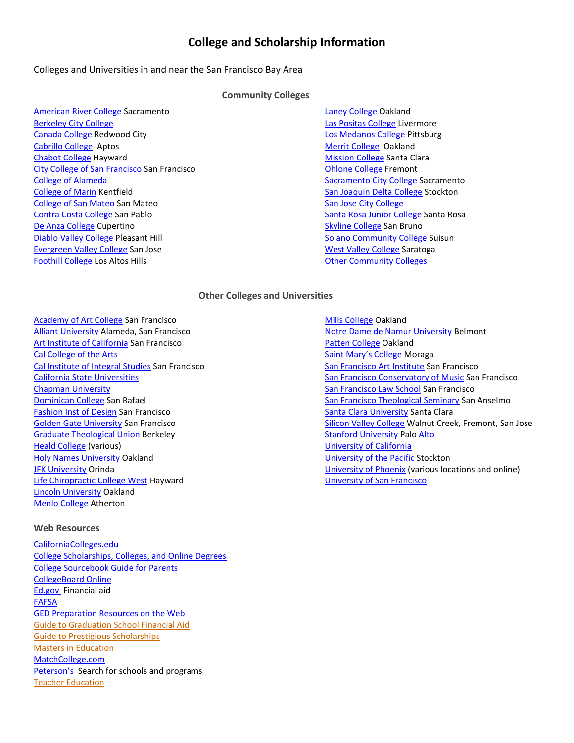# **College and Scholarship Information**

# Colleges and Universities in and near the San Francisco Bay Area

# **Community Colleges**

[American River College](http://www.arc.losrios.edu/) Sacramento [Berkeley City College](http://vistawww.peralta.edu/homex.asp?Q=Homepage) [Canada College](http://canadacollege.net/) Redwood City [Cabrillo College](http://www.cabrillo.edu/) Aptos [Chabot College](http://chabotweb.clpccd.cc.ca.us/) Hayward [City College of San Francisco](http://www.ccsf.edu/) San Francisco [College of Alameda](http://alameda.peralta.edu/homex.asp?Q=Homepage) College [of Marin](http://www.marin.cc.ca.us/) Kentfield [College of San Mateo](http://gocsm.net/) San Mateo [Contra Costa College](http://www.contracosta.cc.ca.us/) San Pablo [De Anza College](http://www.deanza.edu/) Cupertino [Diablo Valley College](http://www.dvc.edu/) Pleasant Hill [Evergreen Valley College](http://www.sjeccd.org/) San Jose [Foothill College](http://www.foothill.fhda.edu/) Los Altos Hills

[Laney College](http://laney.peralta.edu/homex.asp?Q=Homepage) Oakland [Las Positas College](http://www.laspositascollege.edu/) Livermore [Los Medanos College](http://www.losmedanos.net/) Pittsburg [Merrit College](http://merritt.peralta.edu/homex.asp?Q=Homepage) Oakland [Mission College](http://www.missioncollege.org/) Santa Clara [Ohlone College](http://www.ohlone.edu/) Fremont [Sacramento City College](http://www.scc.losrios.edu/) Sacramento [San Joaquin Delta College](http://www.deltacollege.org/) Stockton [San Jose City College](http://www.sjcc.edu/) [Santa Rosa Junior College](http://www.santarosa.edu/) Santa Rosa [Skyline College](http://skylinecollege.net/) San Bruno [Solano Community College](http://www.solano.edu/) Suisun [West Valley College](http://www.westvalley.edu/) Saratoga [Other Community Colleges](http://www.cccco.edu/)

### **Other Colleges and Universities**

[Academy of Art College](http://www.academyart.edu/) San Francisco [Alliant University](http://www.alliant.edu/wps/wcm/connect/website/Home/Campuses/San+Francisco+Campus/) Alameda, San Francisco [Art Institute of California](http://www.artinstitutes.edu/sanfrancisco/) San Francisco [Cal College of the Arts](http://www.cca.edu/) [Cal Institute of Integral Studies](http://www.ciis.edu/) San Francisco [California State Universities](http://www.calstate.edu/) [Chapman University](http://www.chapman.edu/) [Dominican College](http://www.dominican.edu/) San Rafael **[Fashion Inst of Design](http://www.fidm.com/) San Francisco** [Golden Gate University](http://www.ggu.edu/) San Francisco [Graduate Theological Union](http://www.gtu.edu/) Berkeley [Heald College](http://www.heald.edu/) (various) [Holy Names University](http://www.hnu.edu/) Oakland [JFK University](http://www.jfku.edu/) Orinda [Life Chiropractic College West](http://www.lifewest.edu/) Hayward [Lincoln University](http://www.lincolnuca.edu/) Oakland [Menlo College](http://www.menlo.edu/) Atherton

#### **Web Resources**

[CaliforniaColleges.edu](http://www.californiacolleges.edu/) [College Scholarships, Colleges, and Online Degrees](http://www.college-scholarships.com/) [College Sourcebook Guide for Parents](http://www.sourcebookscollege.com/parents-guide/guideforparents.com-FAQ.html)  [CollegeBoard Online](http://www.collegeboard.com/) [Ed.gov F](http://www.ed.gov/finaid/landing.jhtml)inancial aid [FAFSA](http://www.fafsa.ed.gov/) [GED Preparation Resources on the Web](http://www.umbc.edu/alrc/GED/Text/GEDres.html) [Guide to Graduation School Financial Aid](https://www.moneygeek.com/education/graduate-school/financial-aid/) [Guide to Prestigious Scholarships](https://www.moneygeek.com/education/grad/resources/applying-to-and-winning-prestige-scholarships/) [Masters in Education](http://mastersineducationguide.com/) [MatchCollege.com](http://www.matchcollege.com/?r=3074) [Peterson's](http://www.petersons.com/) Search for schools and programs [Teacher Education](http://teacherdegrees.com/)

[Mills College](http://www.mills.edu/) Oakland [Notre Dame de Namur University](http://www.ndnu.edu/) Belmont [Patten College](http://www.patten.edu/) Oakland [Saint Mary's College](http://www.stmarys-ca.edu/) Moraga [San Francisco Art Institute](http://www.sfai.edu/) San Francisco [San Francisco Conservatory of Music](http://www.sfcm.edu/) San Francisco [San Francisco Law School](http://www.sfls.edu/) San Francisco [San Francisco Theological Seminary](http://www.sfts.edu/) San Anselmo [Santa Clara University](http://www.scu.edu/) Santa Clara [Silicon Valley College](http://www.svcollege.com/home.htm) Walnut Creek, Fremont, San Jose [Stanford University](http://www.stanford.edu/) Palo Alto [University of California](http://www.ucop.edu/ucophome/system/) [University of the Pacific](http://www.uop.edu/) Stockton [University of Phoenix](http://www.phoenix.edu/) (various locations and online) [University of San Francisco](http://www.usfca.edu/)